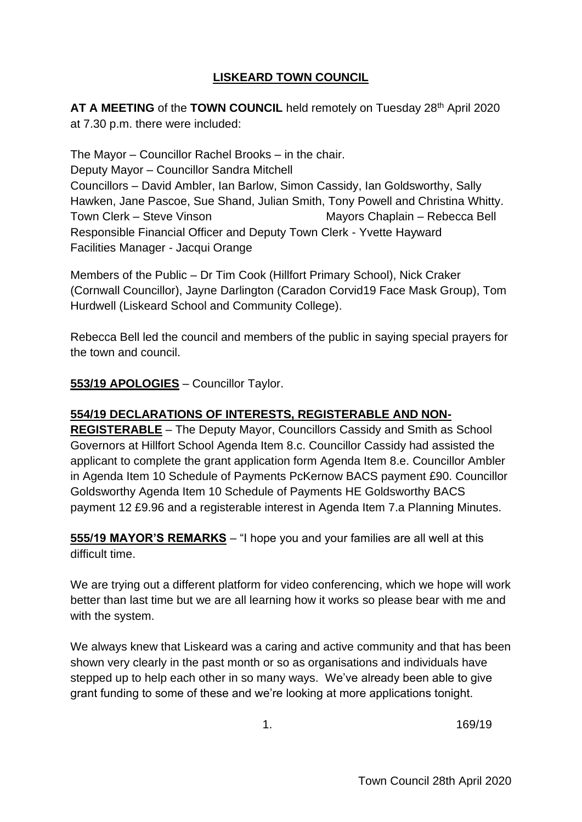#### **LISKEARD TOWN COUNCIL**

**AT A MEETING** of the **TOWN COUNCIL** held remotely on Tuesday 28th April 2020 at 7.30 p.m. there were included:

The Mayor – Councillor Rachel Brooks – in the chair. Deputy Mayor – Councillor Sandra Mitchell Councillors – David Ambler, Ian Barlow, Simon Cassidy, Ian Goldsworthy, Sally Hawken, Jane Pascoe, Sue Shand, Julian Smith, Tony Powell and Christina Whitty. Town Clerk – Steve Vinson Mayors Chaplain – Rebecca Bell Responsible Financial Officer and Deputy Town Clerk - Yvette Hayward Facilities Manager - Jacqui Orange

Members of the Public – Dr Tim Cook (Hillfort Primary School), Nick Craker (Cornwall Councillor), Jayne Darlington (Caradon Corvid19 Face Mask Group), Tom Hurdwell (Liskeard School and Community College).

Rebecca Bell led the council and members of the public in saying special prayers for the town and council.

#### **553/19 APOLOGIES** – Councillor Taylor.

#### **554/19 DECLARATIONS OF INTERESTS, REGISTERABLE AND NON-**

**REGISTERABLE** – The Deputy Mayor, Councillors Cassidy and Smith as School Governors at Hillfort School Agenda Item 8.c. Councillor Cassidy had assisted the applicant to complete the grant application form Agenda Item 8.e. Councillor Ambler in Agenda Item 10 Schedule of Payments PcKernow BACS payment £90. Councillor Goldsworthy Agenda Item 10 Schedule of Payments HE Goldsworthy BACS payment 12 £9.96 and a registerable interest in Agenda Item 7.a Planning Minutes.

**555/19 MAYOR'S REMARKS** – "I hope you and your families are all well at this difficult time.

We are trying out a different platform for video conferencing, which we hope will work better than last time but we are all learning how it works so please bear with me and with the system.

We always knew that Liskeard was a caring and active community and that has been shown very clearly in the past month or so as organisations and individuals have stepped up to help each other in so many ways. We've already been able to give grant funding to some of these and we're looking at more applications tonight.

1. 169/19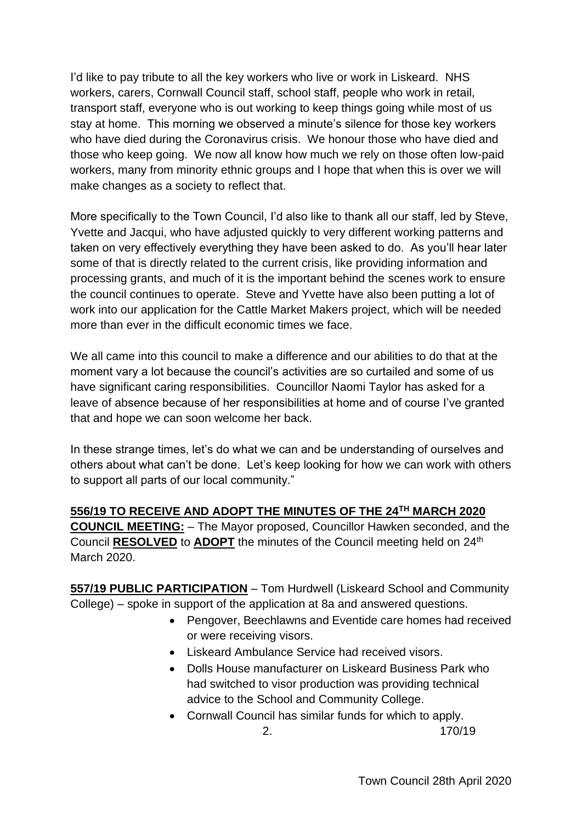I'd like to pay tribute to all the key workers who live or work in Liskeard. NHS workers, carers, Cornwall Council staff, school staff, people who work in retail, transport staff, everyone who is out working to keep things going while most of us stay at home. This morning we observed a minute's silence for those key workers who have died during the Coronavirus crisis. We honour those who have died and those who keep going. We now all know how much we rely on those often low-paid workers, many from minority ethnic groups and I hope that when this is over we will make changes as a society to reflect that.

More specifically to the Town Council, I'd also like to thank all our staff, led by Steve, Yvette and Jacqui, who have adjusted quickly to very different working patterns and taken on very effectively everything they have been asked to do. As you'll hear later some of that is directly related to the current crisis, like providing information and processing grants, and much of it is the important behind the scenes work to ensure the council continues to operate. Steve and Yvette have also been putting a lot of work into our application for the Cattle Market Makers project, which will be needed more than ever in the difficult economic times we face.

We all came into this council to make a difference and our abilities to do that at the moment vary a lot because the council's activities are so curtailed and some of us have significant caring responsibilities. Councillor Naomi Taylor has asked for a leave of absence because of her responsibilities at home and of course I've granted that and hope we can soon welcome her back.

In these strange times, let's do what we can and be understanding of ourselves and others about what can't be done. Let's keep looking for how we can work with others to support all parts of our local community."

## **556/19 TO RECEIVE AND ADOPT THE MINUTES OF THE 24TH MARCH 2020**

**COUNCIL MEETING:** – The Mayor proposed, Councillor Hawken seconded, and the Council **RESOLVED** to **ADOPT** the minutes of the Council meeting held on 24th March 2020.

**557/19 PUBLIC PARTICIPATION** – Tom Hurdwell (Liskeard School and Community College) – spoke in support of the application at 8a and answered questions.

- Pengover, Beechlawns and Eventide care homes had received or were receiving visors.
- Liskeard Ambulance Service had received visors.
- Dolls House manufacturer on Liskeard Business Park who had switched to visor production was providing technical advice to the School and Community College.
- Cornwall Council has similar funds for which to apply.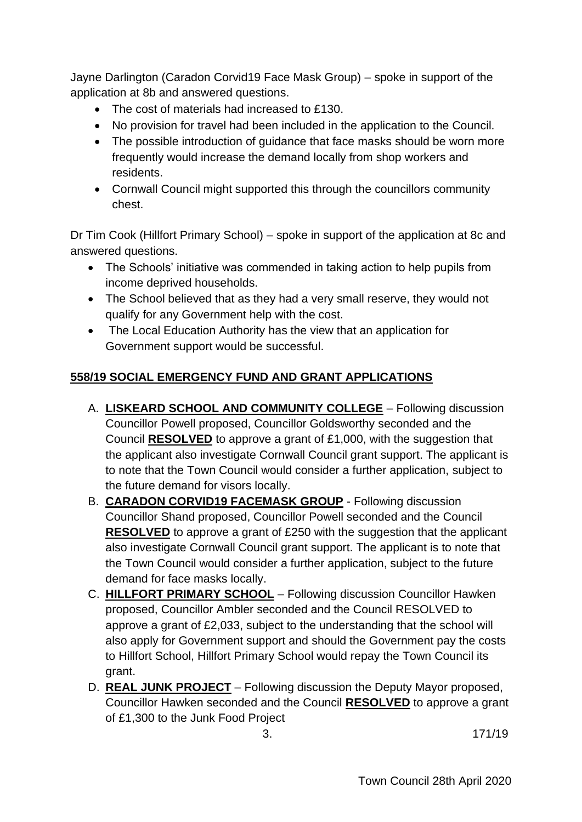Jayne Darlington (Caradon Corvid19 Face Mask Group) – spoke in support of the application at 8b and answered questions.

- The cost of materials had increased to £130.
- No provision for travel had been included in the application to the Council.
- The possible introduction of guidance that face masks should be worn more frequently would increase the demand locally from shop workers and residents.
- Cornwall Council might supported this through the councillors community chest.

Dr Tim Cook (Hillfort Primary School) – spoke in support of the application at 8c and answered questions.

- The Schools' initiative was commended in taking action to help pupils from income deprived households.
- The School believed that as they had a very small reserve, they would not qualify for any Government help with the cost.
- The Local Education Authority has the view that an application for Government support would be successful.

#### **558/19 SOCIAL EMERGENCY FUND AND GRANT APPLICATIONS**

- A. **LISKEARD SCHOOL AND COMMUNITY COLLEGE** Following discussion Councillor Powell proposed, Councillor Goldsworthy seconded and the Council **RESOLVED** to approve a grant of £1,000, with the suggestion that the applicant also investigate Cornwall Council grant support. The applicant is to note that the Town Council would consider a further application, subject to the future demand for visors locally.
- B. **CARADON CORVID19 FACEMASK GROUP** Following discussion Councillor Shand proposed, Councillor Powell seconded and the Council **RESOLVED** to approve a grant of £250 with the suggestion that the applicant also investigate Cornwall Council grant support. The applicant is to note that the Town Council would consider a further application, subject to the future demand for face masks locally.
- C. **HILLFORT PRIMARY SCHOOL** Following discussion Councillor Hawken proposed, Councillor Ambler seconded and the Council RESOLVED to approve a grant of £2,033, subject to the understanding that the school will also apply for Government support and should the Government pay the costs to Hillfort School, Hillfort Primary School would repay the Town Council its grant.
- D. **REAL JUNK PROJECT** Following discussion the Deputy Mayor proposed, Councillor Hawken seconded and the Council **RESOLVED** to approve a grant of £1,300 to the Junk Food Project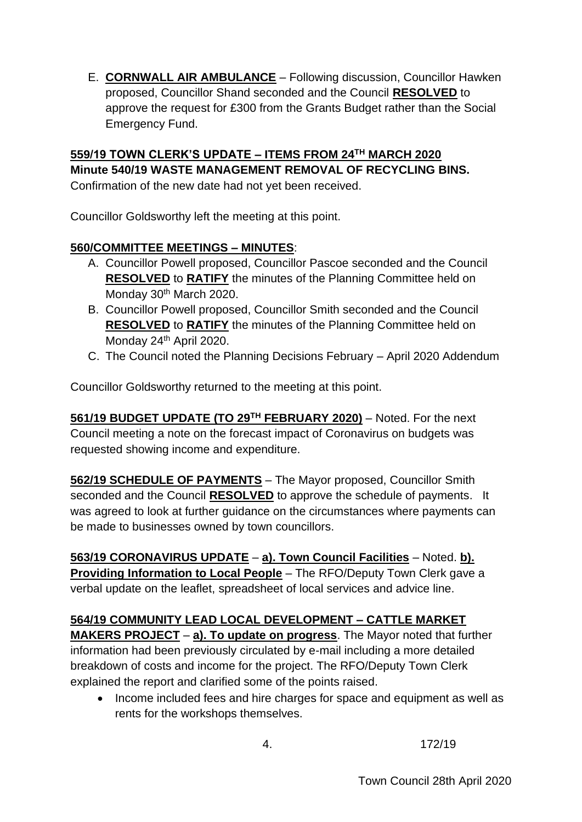E. **CORNWALL AIR AMBULANCE** – Following discussion, Councillor Hawken proposed, Councillor Shand seconded and the Council **RESOLVED** to approve the request for £300 from the Grants Budget rather than the Social Emergency Fund.

# **559/19 TOWN CLERK'S UPDATE – ITEMS FROM 24TH MARCH 2020 Minute 540/19 WASTE MANAGEMENT REMOVAL OF RECYCLING BINS.**

Confirmation of the new date had not yet been received.

Councillor Goldsworthy left the meeting at this point.

### **560/COMMITTEE MEETINGS – MINUTES**:

- A. Councillor Powell proposed, Councillor Pascoe seconded and the Council **RESOLVED** to **RATIFY** the minutes of the Planning Committee held on Monday 30<sup>th</sup> March 2020.
- B. Councillor Powell proposed, Councillor Smith seconded and the Council **RESOLVED** to **RATIFY** the minutes of the Planning Committee held on Monday 24<sup>th</sup> April 2020.
- C. The Council noted the Planning Decisions February April 2020 Addendum

Councillor Goldsworthy returned to the meeting at this point.

**561/19 BUDGET UPDATE (TO 29TH FEBRUARY 2020)** – Noted. For the next Council meeting a note on the forecast impact of Coronavirus on budgets was requested showing income and expenditure.

**562/19 SCHEDULE OF PAYMENTS** – The Mayor proposed, Councillor Smith seconded and the Council **RESOLVED** to approve the schedule of payments. It was agreed to look at further guidance on the circumstances where payments can be made to businesses owned by town councillors.

**563/19 CORONAVIRUS UPDATE** – **a). Town Council Facilities** – Noted. **b). Providing Information to Local People** – The RFO/Deputy Town Clerk gave a verbal update on the leaflet, spreadsheet of local services and advice line.

## **564/19 COMMUNITY LEAD LOCAL DEVELOPMENT – CATTLE MARKET**

**MAKERS PROJECT** – **a). To update on progress**. The Mayor noted that further information had been previously circulated by e-mail including a more detailed breakdown of costs and income for the project. The RFO/Deputy Town Clerk explained the report and clarified some of the points raised.

• Income included fees and hire charges for space and equipment as well as rents for the workshops themselves.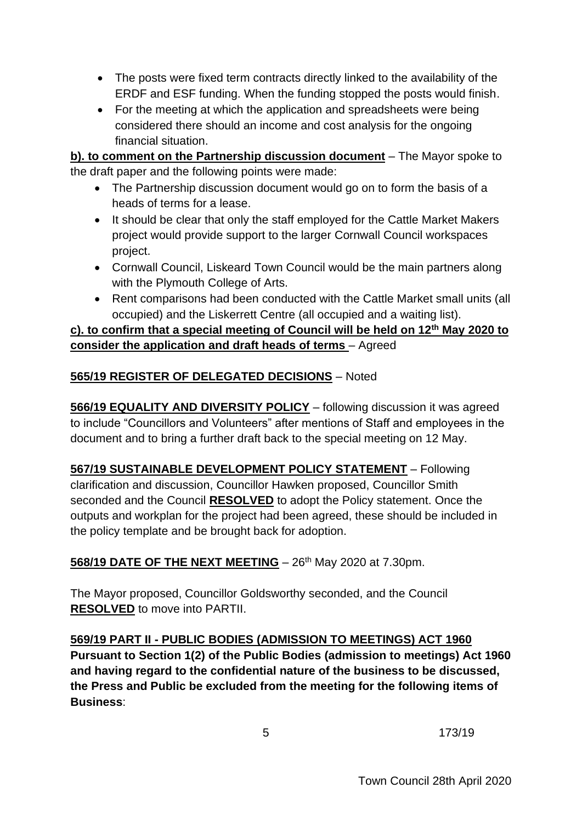- The posts were fixed term contracts directly linked to the availability of the ERDF and ESF funding. When the funding stopped the posts would finish.
- For the meeting at which the application and spreadsheets were being considered there should an income and cost analysis for the ongoing financial situation.

**b). to comment on the Partnership discussion document** – The Mayor spoke to the draft paper and the following points were made:

- The Partnership discussion document would go on to form the basis of a heads of terms for a lease.
- It should be clear that only the staff employed for the Cattle Market Makers project would provide support to the larger Cornwall Council workspaces project.
- Cornwall Council, Liskeard Town Council would be the main partners along with the Plymouth College of Arts.
- Rent comparisons had been conducted with the Cattle Market small units (all occupied) and the Liskerrett Centre (all occupied and a waiting list).

## **c). to confirm that a special meeting of Council will be held on 12th May 2020 to consider the application and draft heads of terms** – Agreed

## **565/19 REGISTER OF DELEGATED DECISIONS** – Noted

**566/19 EQUALITY AND DIVERSITY POLICY** – following discussion it was agreed to include "Councillors and Volunteers" after mentions of Staff and employees in the document and to bring a further draft back to the special meeting on 12 May.

**567/19 SUSTAINABLE DEVELOPMENT POLICY STATEMENT** – Following clarification and discussion, Councillor Hawken proposed, Councillor Smith seconded and the Council **RESOLVED** to adopt the Policy statement. Once the outputs and workplan for the project had been agreed, these should be included in the policy template and be brought back for adoption.

**568/19 DATE OF THE NEXT MEETING** - 26<sup>th</sup> May 2020 at 7.30pm.

The Mayor proposed, Councillor Goldsworthy seconded, and the Council **RESOLVED** to move into PARTII.

**569/19 PART II - PUBLIC BODIES (ADMISSION TO MEETINGS) ACT 1960 Pursuant to Section 1(2) of the Public Bodies (admission to meetings) Act 1960 and having regard to the confidential nature of the business to be discussed, the Press and Public be excluded from the meeting for the following items of Business**: